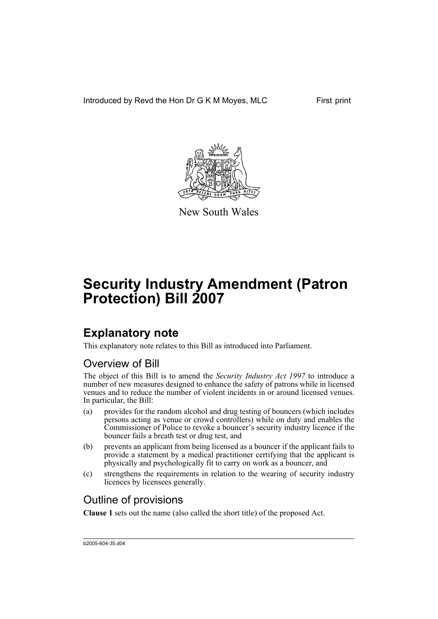Introduced by Revd the Hon Dr G K M Moyes, MLC First print



New South Wales

# **Security Industry Amendment (Patron Protection) Bill 2007**

# **Explanatory note**

This explanatory note relates to this Bill as introduced into Parliament.

## Overview of Bill

The object of this Bill is to amend the *Security Industry Act 1997* to introduce a number of new measures designed to enhance the safety of patrons while in licensed venues and to reduce the number of violent incidents in or around licensed venues. In particular, the Bill:

- (a) provides for the random alcohol and drug testing of bouncers (which includes persons acting as venue or crowd controllers) while on duty and enables the Commissioner of Police to revoke a bouncer's security industry licence if the bouncer fails a breath test or drug test, and
- (b) prevents an applicant from being licensed as a bouncer if the applicant fails to provide a statement by a medical practitioner certifying that the applicant is physically and psychologically fit to carry on work as a bouncer, and
- (c) strengthens the requirements in relation to the wearing of security industry licences by licensees generally.

## Outline of provisions

**Clause 1** sets out the name (also called the short title) of the proposed Act.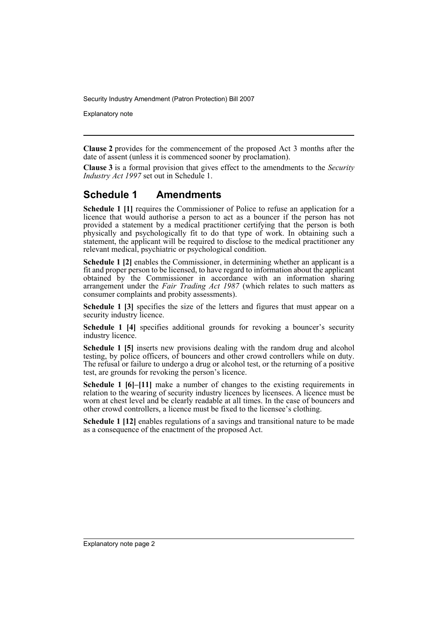Explanatory note

**Clause 2** provides for the commencement of the proposed Act 3 months after the date of assent (unless it is commenced sooner by proclamation).

**Clause 3** is a formal provision that gives effect to the amendments to the *Security Industry Act 1997* set out in Schedule 1.

## **Schedule 1 Amendments**

**Schedule 1 [1]** requires the Commissioner of Police to refuse an application for a licence that would authorise a person to act as a bouncer if the person has not provided a statement by a medical practitioner certifying that the person is both physically and psychologically fit to do that type of work. In obtaining such a statement, the applicant will be required to disclose to the medical practitioner any relevant medical, psychiatric or psychological condition.

**Schedule 1 [2]** enables the Commissioner, in determining whether an applicant is a fit and proper person to be licensed, to have regard to information about the applicant obtained by the Commissioner in accordance with an information sharing arrangement under the *Fair Trading Act 1987* (which relates to such matters as consumer complaints and probity assessments).

**Schedule 1 [3]** specifies the size of the letters and figures that must appear on a security industry licence.

**Schedule 1 [4]** specifies additional grounds for revoking a bouncer's security industry licence.

**Schedule 1 [5]** inserts new provisions dealing with the random drug and alcohol testing, by police officers, of bouncers and other crowd controllers while on duty. The refusal or failure to undergo a drug or alcohol test, or the returning of a positive test, are grounds for revoking the person's licence.

**Schedule 1 [6]–[11]** make a number of changes to the existing requirements in relation to the wearing of security industry licences by licensees. A licence must be worn at chest level and be clearly readable at all times. In the case of bouncers and other crowd controllers, a licence must be fixed to the licensee's clothing.

**Schedule 1 [12]** enables regulations of a savings and transitional nature to be made as a consequence of the enactment of the proposed Act.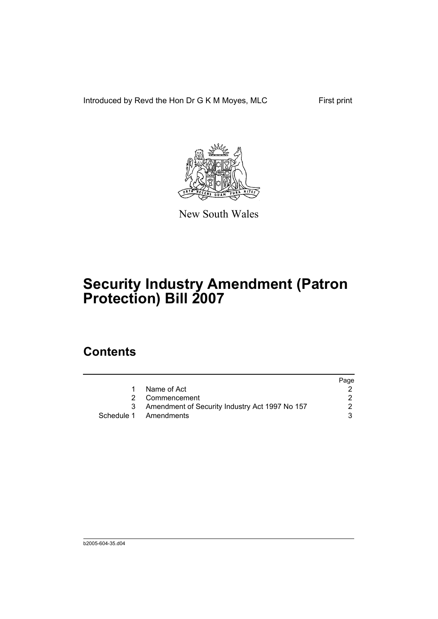Introduced by Revd the Hon Dr G K M Moyes, MLC First print



New South Wales

# **Security Industry Amendment (Patron Protection) Bill 2007**

## **Contents**

|                                                | Page |
|------------------------------------------------|------|
| Name of Act                                    |      |
| 2 Commencement                                 |      |
| Amendment of Security Industry Act 1997 No 157 | 2    |
| Schedule 1 Amendments                          | 3    |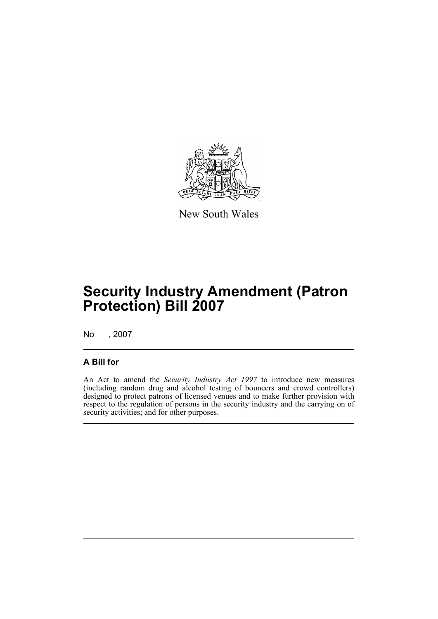

New South Wales

# **Security Industry Amendment (Patron Protection) Bill 2007**

No , 2007

## **A Bill for**

An Act to amend the *Security Industry Act 1997* to introduce new measures (including random drug and alcohol testing of bouncers and crowd controllers) designed to protect patrons of licensed venues and to make further provision with respect to the regulation of persons in the security industry and the carrying on of security activities; and for other purposes.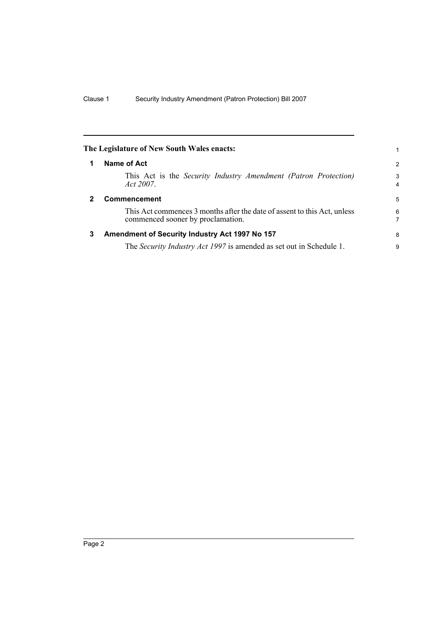<span id="page-5-2"></span><span id="page-5-1"></span><span id="page-5-0"></span>

|   | The Legislature of New South Wales enacts:                                                                    |        |
|---|---------------------------------------------------------------------------------------------------------------|--------|
| 1 | Name of Act                                                                                                   | 2      |
|   | This Act is the <i>Security Industry Amendment (Patron Protection)</i><br>Act 2007.                           | 3<br>4 |
| 2 | <b>Commencement</b>                                                                                           | 5      |
|   | This Act commences 3 months after the date of assent to this Act, unless<br>commenced sooner by proclamation. | 6<br>7 |
| 3 | Amendment of Security Industry Act 1997 No 157                                                                | 8      |
|   | The Security Industry Act 1997 is amended as set out in Schedule 1.                                           | 9      |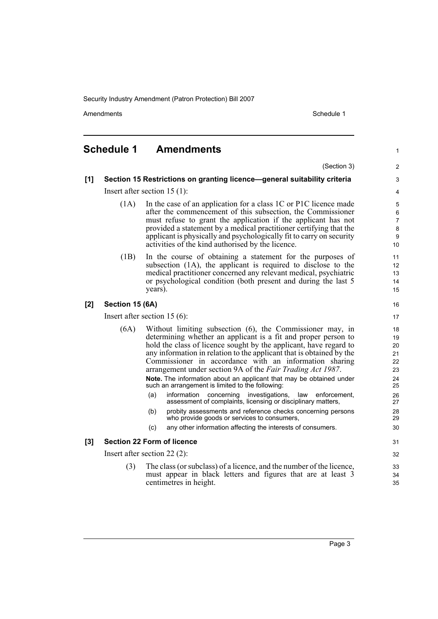Amendments **Amendments** Schedule 1

1

## <span id="page-6-0"></span>**Schedule 1 Amendments**

(Section 3) **[1] Section 15 Restrictions on granting licence—general suitability criteria** Insert after section 15 (1): (1A) In the case of an application for a class 1C or P1C licence made after the commencement of this subsection, the Commissioner must refuse to grant the application if the applicant has not provided a statement by a medical practitioner certifying that the applicant is physically and psychologically fit to carry on security activities of the kind authorised by the licence. (1B) In the course of obtaining a statement for the purposes of subsection (1A), the applicant is required to disclose to the medical practitioner concerned any relevant medical, psychiatric or psychological condition (both present and during the last 5 years). **[2] Section 15 (6A)** Insert after section 15 (6): (6A) Without limiting subsection (6), the Commissioner may, in determining whether an applicant is a fit and proper person to hold the class of licence sought by the applicant, have regard to any information in relation to the applicant that is obtained by the Commissioner in accordance with an information sharing arrangement under section 9A of the *Fair Trading Act 1987*. **Note.** The information about an applicant that may be obtained under such an arrangement is limited to the following: (a) information concerning investigations, law enforcement, assessment of complaints, licensing or disciplinary matters, (b) probity assessments and reference checks concerning persons who provide goods or services to consumers, (c) any other information affecting the interests of consumers. **[3] Section 22 Form of licence** Insert after section 22 (2): (3) The class (or subclass) of a licence, and the number of the licence, must appear in black letters and figures that are at least 3 centimetres in height. 10 11 12 13  $14$ 15 16 17 18 19  $20$ 21 22 23 24 25 26 27 28 29 30 31 32 33 34 35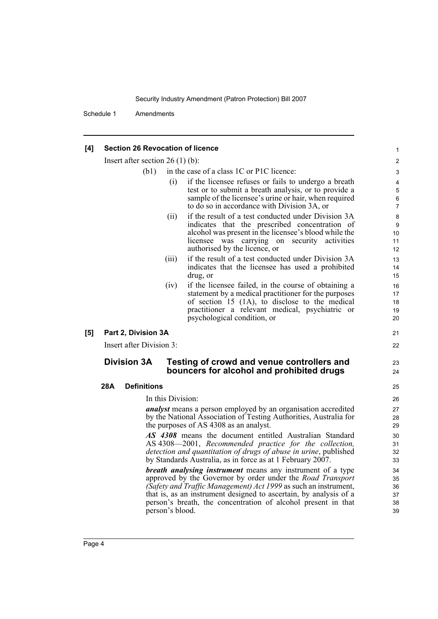Schedule 1 Amendments

#### **[4] Section 26 Revocation of licence**

Insert after section 26 (1) (b):

- (b1) in the case of a class 1C or P1C licence:
	- (i) if the licensee refuses or fails to undergo a breath test or to submit a breath analysis, or to provide a sample of the licensee's urine or hair, when required to do so in accordance with Division 3A, or

21 22

23  $24$ 

- (ii) if the result of a test conducted under Division 3A indicates that the prescribed concentration of alcohol was present in the licensee's blood while the licensee was carrying on security activities authorised by the licence, or
- (iii) if the result of a test conducted under Division 3A indicates that the licensee has used a prohibited drug, or
- (iv) if the licensee failed, in the course of obtaining a statement by a medical practitioner for the purposes of section 15 (1A), to disclose to the medical practitioner a relevant medical, psychiatric or psychological condition, or
- **[5] Part 2, Division 3A**

Insert after Division 3:

### **Division 3A Testing of crowd and venue controllers and bouncers for alcohol and prohibited drugs**

### **28A Definitions**

In this Division:

*analyst* means a person employed by an organisation accredited by the National Association of Testing Authorities, Australia for the purposes of AS 4308 as an analyst.

*AS 4308* means the document entitled Australian Standard AS 4308—2001, *Recommended practice for the collection, detection and quantitation of drugs of abuse in urine*, published by Standards Australia, as in force as at 1 February 2007.

*breath analysing instrument* means any instrument of a type approved by the Governor by order under the *Road Transport (Safety and Traffic Management) Act 1999* as such an instrument, that is, as an instrument designed to ascertain, by analysis of a person's breath, the concentration of alcohol present in that person's blood.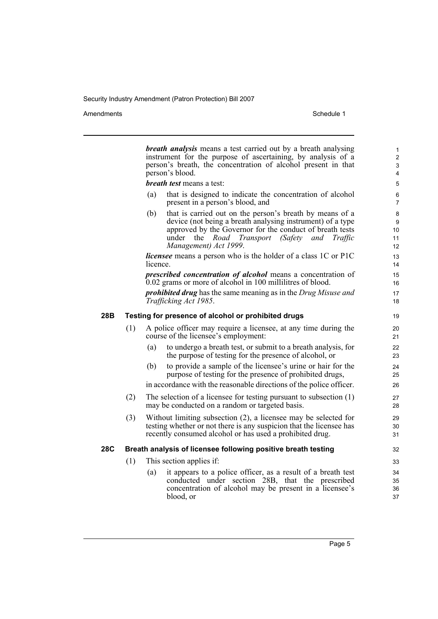Amendments Schedule 1

|     |                                                               |                                                     | <b>breath analysis</b> means a test carried out by a breath analysing<br>instrument for the purpose of ascertaining, by analysis of a<br>person's breath, the concentration of alcohol present in that<br>person's blood.                                               | $\mathbf{1}$<br>$\overline{2}$<br>3<br>4 |  |
|-----|---------------------------------------------------------------|-----------------------------------------------------|-------------------------------------------------------------------------------------------------------------------------------------------------------------------------------------------------------------------------------------------------------------------------|------------------------------------------|--|
|     |                                                               |                                                     | breath test means a test:                                                                                                                                                                                                                                               | 5                                        |  |
|     |                                                               | (a)                                                 | that is designed to indicate the concentration of alcohol<br>present in a person's blood, and                                                                                                                                                                           | 6<br>$\overline{7}$                      |  |
|     |                                                               | (b)                                                 | that is carried out on the person's breath by means of a<br>device (not being a breath analysing instrument) of a type<br>approved by the Governor for the conduct of breath tests<br>under<br>the<br>Road Transport<br>(Safety and<br>Traffic<br>Management) Act 1999. | 8<br>9<br>10<br>11<br>12                 |  |
|     |                                                               | licence.                                            | <i>licensee</i> means a person who is the holder of a class 1C or P1C                                                                                                                                                                                                   | 13<br>14                                 |  |
|     |                                                               |                                                     | prescribed concentration of alcohol means a concentration of<br>0.02 grams or more of alcohol in 100 millilitres of blood.                                                                                                                                              | 15<br>16                                 |  |
|     |                                                               |                                                     | <b>prohibited drug</b> has the same meaning as in the Drug Misuse and<br>Trafficking Act 1985.                                                                                                                                                                          | 17<br>18                                 |  |
| 28B |                                                               | Testing for presence of alcohol or prohibited drugs |                                                                                                                                                                                                                                                                         |                                          |  |
|     | (1)                                                           |                                                     | A police officer may require a licensee, at any time during the<br>course of the licensee's employment:                                                                                                                                                                 | 20<br>21                                 |  |
|     |                                                               | (a)                                                 | to undergo a breath test, or submit to a breath analysis, for<br>the purpose of testing for the presence of alcohol, or                                                                                                                                                 | 22<br>23                                 |  |
|     |                                                               | (b)                                                 | to provide a sample of the licensee's urine or hair for the<br>purpose of testing for the presence of prohibited drugs,                                                                                                                                                 | 24<br>25                                 |  |
|     |                                                               |                                                     | in accordance with the reasonable directions of the police officer.                                                                                                                                                                                                     | 26                                       |  |
|     | (2)                                                           |                                                     | The selection of a licensee for testing pursuant to subsection $(1)$<br>may be conducted on a random or targeted basis.                                                                                                                                                 | 27<br>28                                 |  |
|     | (3)                                                           |                                                     | Without limiting subsection (2), a licensee may be selected for<br>testing whether or not there is any suspicion that the licensee has<br>recently consumed alcohol or has used a prohibited drug.                                                                      | 29<br>30<br>31                           |  |
| 28C | Breath analysis of licensee following positive breath testing |                                                     |                                                                                                                                                                                                                                                                         | 32                                       |  |
|     | (1)                                                           |                                                     | This section applies if:                                                                                                                                                                                                                                                | 33                                       |  |
|     |                                                               | (a)                                                 | it appears to a police officer, as a result of a breath test<br>conducted under section 28B, that the prescribed<br>concentration of alcohol may be present in a licensee's<br>blood, or                                                                                | 34<br>35<br>36<br>37                     |  |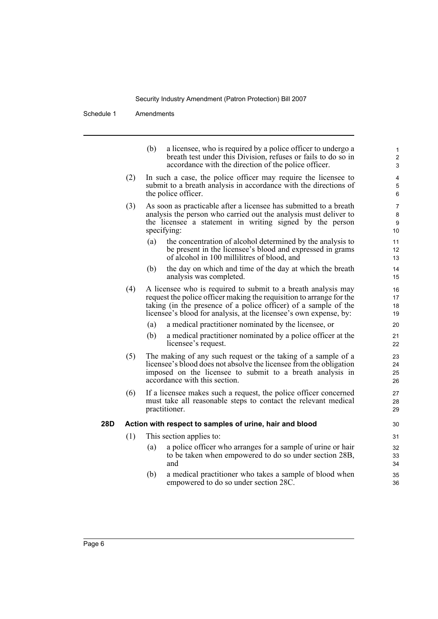Schedule 1 Amendments

i.

|     |                                                         | (b)<br>a licensee, who is required by a police officer to undergo a<br>breath test under this Division, refuses or fails to do so in<br>accordance with the direction of the police officer.                                                                                  | $\mathbf{1}$<br>$\overline{c}$<br>3 |  |
|-----|---------------------------------------------------------|-------------------------------------------------------------------------------------------------------------------------------------------------------------------------------------------------------------------------------------------------------------------------------|-------------------------------------|--|
|     | (2)                                                     | In such a case, the police officer may require the licensee to<br>submit to a breath analysis in accordance with the directions of<br>the police officer.                                                                                                                     | 4<br>5<br>6                         |  |
|     | (3)                                                     | As soon as practicable after a licensee has submitted to a breath<br>analysis the person who carried out the analysis must deliver to<br>the licensee a statement in writing signed by the person<br>specifying:                                                              | $\overline{7}$<br>8<br>9<br>10      |  |
|     |                                                         | the concentration of alcohol determined by the analysis to<br>(a)<br>be present in the licensee's blood and expressed in grams<br>of alcohol in 100 millilitres of blood, and                                                                                                 | 11<br>12<br>13                      |  |
|     |                                                         | the day on which and time of the day at which the breath<br>(b)<br>analysis was completed.                                                                                                                                                                                    | 14<br>15                            |  |
|     | (4)                                                     | A licensee who is required to submit to a breath analysis may<br>request the police officer making the requisition to arrange for the<br>taking (in the presence of a police officer) of a sample of the<br>licensee's blood for analysis, at the licensee's own expense, by: | 16<br>17<br>18<br>19                |  |
|     |                                                         | a medical practitioner nominated by the licensee, or<br>(a)                                                                                                                                                                                                                   | 20                                  |  |
|     |                                                         | a medical practitioner nominated by a police officer at the<br>(b)<br>licensee's request.                                                                                                                                                                                     | 21<br>22                            |  |
|     | (5)                                                     | The making of any such request or the taking of a sample of a<br>licensee's blood does not absolve the licensee from the obligation<br>imposed on the licensee to submit to a breath analysis in<br>accordance with this section.                                             | 23<br>24<br>25<br>26                |  |
|     | (6)                                                     | If a licensee makes such a request, the police officer concerned<br>must take all reasonable steps to contact the relevant medical<br>practitioner.                                                                                                                           | 27<br>28<br>29                      |  |
| 28D | Action with respect to samples of urine, hair and blood |                                                                                                                                                                                                                                                                               |                                     |  |
|     | (1)                                                     | This section applies to:                                                                                                                                                                                                                                                      | 31                                  |  |
|     |                                                         | a police officer who arranges for a sample of urine or hair<br>(a)<br>to be taken when empowered to do so under section 28B,<br>and                                                                                                                                           | 32<br>33<br>34                      |  |
|     |                                                         | (b)<br>a medical practitioner who takes a sample of blood when<br>empowered to do so under section 28C.                                                                                                                                                                       | 35<br>36                            |  |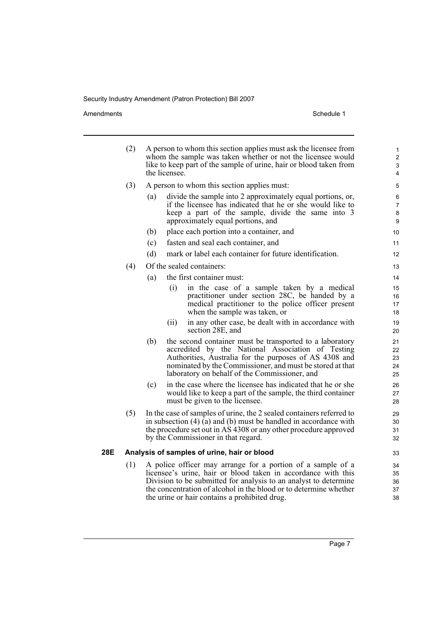Amendments Schedule 1

|     | (2)<br>A person to whom this section applies must ask the licensee from<br>whom the sample was taken whether or not the licensee would<br>like to keep part of the sample of urine, hair or blood taken from<br>the licensee. |                                                                                                                                                                                                                                                                                              |                               |  |
|-----|-------------------------------------------------------------------------------------------------------------------------------------------------------------------------------------------------------------------------------|----------------------------------------------------------------------------------------------------------------------------------------------------------------------------------------------------------------------------------------------------------------------------------------------|-------------------------------|--|
|     | (3)                                                                                                                                                                                                                           | A person to whom this section applies must:                                                                                                                                                                                                                                                  |                               |  |
|     |                                                                                                                                                                                                                               | divide the sample into 2 approximately equal portions, or,<br>(a)<br>if the licensee has indicated that he or she would like to<br>keep a part of the sample, divide the same into 3<br>approximately equal portions, and                                                                    | 6<br>$\overline{7}$<br>8<br>9 |  |
|     |                                                                                                                                                                                                                               | place each portion into a container, and<br>(b)                                                                                                                                                                                                                                              | 10                            |  |
|     |                                                                                                                                                                                                                               | (c)<br>fasten and seal each container, and                                                                                                                                                                                                                                                   | 11                            |  |
|     |                                                                                                                                                                                                                               | mark or label each container for future identification.<br>(d)                                                                                                                                                                                                                               | 12                            |  |
|     | (4)                                                                                                                                                                                                                           | Of the sealed containers:                                                                                                                                                                                                                                                                    | 13                            |  |
|     |                                                                                                                                                                                                                               | the first container must:<br>(a)                                                                                                                                                                                                                                                             | 14                            |  |
|     |                                                                                                                                                                                                                               | in the case of a sample taken by a medical<br>(i)<br>practitioner under section 28C, be handed by a<br>medical practitioner to the police officer present<br>when the sample was taken, or                                                                                                   | 15<br>16<br>17<br>18          |  |
|     |                                                                                                                                                                                                                               | in any other case, be dealt with in accordance with<br>(ii)<br>section 28E, and                                                                                                                                                                                                              | 19<br>20                      |  |
|     |                                                                                                                                                                                                                               | the second container must be transported to a laboratory<br>(b)<br>accredited by the National Association of Testing<br>Authorities, Australia for the purposes of AS 4308 and<br>nominated by the Commissioner, and must be stored at that<br>laboratory on behalf of the Commissioner, and | 21<br>22<br>23<br>24<br>25    |  |
|     |                                                                                                                                                                                                                               | in the case where the licensee has indicated that he or she<br>(c)<br>would like to keep a part of the sample, the third container<br>must be given to the licensee.                                                                                                                         | 26<br>27<br>28                |  |
|     | (5)                                                                                                                                                                                                                           | In the case of samples of urine, the 2 sealed containers referred to<br>in subsection $(4)$ (a) and (b) must be handled in accordance with<br>the procedure set out in AS 4308 or any other procedure approved<br>by the Commissioner in that regard.                                        | 29<br>30<br>31<br>32          |  |
| 28E |                                                                                                                                                                                                                               | Analysis of samples of urine, hair or blood                                                                                                                                                                                                                                                  | 33                            |  |
|     | (1)                                                                                                                                                                                                                           | A police officer may arrange for a portion of a sample of a<br>licensee's urine, hair or blood taken in accordance with this<br>Division to be submitted for analysis to an analyst to determine<br>the concentration of alcohol in the blood or to determine whether                        | 34<br>35<br>36<br>37          |  |

the urine or hair contains a prohibited drug.

38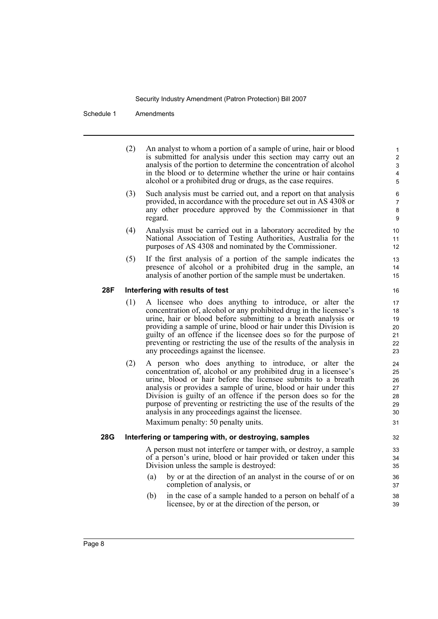Schedule 1 Amendments

(2) An analyst to whom a portion of a sample of urine, hair or blood is submitted for analysis under this section may carry out an analysis of the portion to determine the concentration of alcohol in the blood or to determine whether the urine or hair contains alcohol or a prohibited drug or drugs, as the case requires.

- (3) Such analysis must be carried out, and a report on that analysis provided, in accordance with the procedure set out in AS 4308 or any other procedure approved by the Commissioner in that regard.
- (4) Analysis must be carried out in a laboratory accredited by the National Association of Testing Authorities, Australia for the purposes of AS 4308 and nominated by the Commissioner.
- (5) If the first analysis of a portion of the sample indicates the presence of alcohol or a prohibited drug in the sample, an analysis of another portion of the sample must be undertaken.

#### **28F Interfering with results of test**

- (1) A licensee who does anything to introduce, or alter the concentration of, alcohol or any prohibited drug in the licensee's urine, hair or blood before submitting to a breath analysis or providing a sample of urine, blood or hair under this Division is guilty of an offence if the licensee does so for the purpose of preventing or restricting the use of the results of the analysis in any proceedings against the licensee.
- (2) A person who does anything to introduce, or alter the concentration of, alcohol or any prohibited drug in a licensee's urine, blood or hair before the licensee submits to a breath analysis or provides a sample of urine, blood or hair under this Division is guilty of an offence if the person does so for the purpose of preventing or restricting the use of the results of the analysis in any proceedings against the licensee.

Maximum penalty: 50 penalty units.

#### **28G Interfering or tampering with, or destroying, samples**

A person must not interfere or tamper with, or destroy, a sample of a person's urine, blood or hair provided or taken under this Division unless the sample is destroyed:

- (a) by or at the direction of an analyst in the course of or on completion of analysis, or
- (b) in the case of a sample handed to a person on behalf of a licensee, by or at the direction of the person, or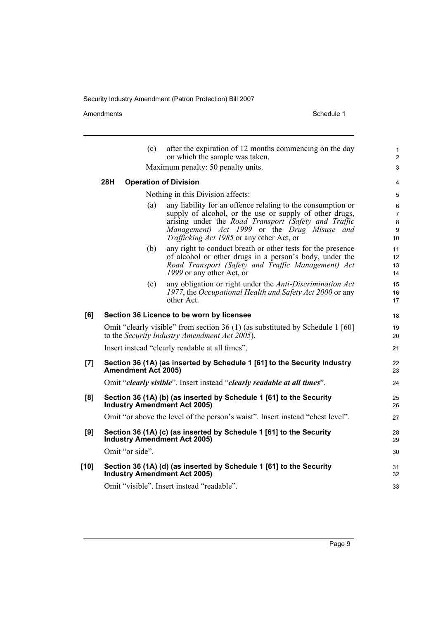Amendments Schedule 1

|        |                                                                                                                                | (c)             | after the expiration of 12 months commencing on the day<br>on which the sample was taken.                                                                                                                                                                                         | $\mathbf{1}$<br>$\overline{2}$      |  |
|--------|--------------------------------------------------------------------------------------------------------------------------------|-----------------|-----------------------------------------------------------------------------------------------------------------------------------------------------------------------------------------------------------------------------------------------------------------------------------|-------------------------------------|--|
|        | Maximum penalty: 50 penalty units.                                                                                             |                 |                                                                                                                                                                                                                                                                                   |                                     |  |
|        | 28H                                                                                                                            |                 | <b>Operation of Division</b>                                                                                                                                                                                                                                                      | 4                                   |  |
|        | Nothing in this Division affects:                                                                                              |                 |                                                                                                                                                                                                                                                                                   |                                     |  |
|        |                                                                                                                                | (a)             | any liability for an offence relating to the consumption or<br>supply of alcohol, or the use or supply of other drugs,<br>arising under the Road Transport (Safety and Traffic<br>Management) Act 1999 or the Drug Misuse and<br><i>Trafficking Act 1985</i> or any other Act, or | 6<br>$\overline{7}$<br>8<br>9<br>10 |  |
|        |                                                                                                                                | (b)             | any right to conduct breath or other tests for the presence<br>of alcohol or other drugs in a person's body, under the<br>Road Transport (Safety and Traffic Management) Act<br>1999 or any other Act, or                                                                         | 11<br>12 <sup>2</sup><br>13<br>14   |  |
|        |                                                                                                                                | (c)             | any obligation or right under the Anti-Discrimination Act<br>1977, the Occupational Health and Safety Act 2000 or any<br>other Act.                                                                                                                                               | 15<br>16<br>17                      |  |
| [6]    |                                                                                                                                |                 | Section 36 Licence to be worn by licensee                                                                                                                                                                                                                                         | 18                                  |  |
|        | Omit "clearly visible" from section 36 (1) (as substituted by Schedule 1 [60]<br>to the Security Industry Amendment Act 2005). |                 |                                                                                                                                                                                                                                                                                   | 19<br>20                            |  |
|        | Insert instead "clearly readable at all times".                                                                                |                 |                                                                                                                                                                                                                                                                                   |                                     |  |
| [7]    | Section 36 (1A) (as inserted by Schedule 1 [61] to the Security Industry<br><b>Amendment Act 2005)</b>                         |                 |                                                                                                                                                                                                                                                                                   |                                     |  |
|        | Omit "clearly visible". Insert instead "clearly readable at all times".                                                        |                 |                                                                                                                                                                                                                                                                                   |                                     |  |
| [8]    | Section 36 (1A) (b) (as inserted by Schedule 1 [61] to the Security<br><b>Industry Amendment Act 2005)</b>                     |                 |                                                                                                                                                                                                                                                                                   |                                     |  |
|        | Omit "or above the level of the person's waist". Insert instead "chest level".                                                 |                 |                                                                                                                                                                                                                                                                                   |                                     |  |
| [9]    | Section 36 (1A) (c) (as inserted by Schedule 1 [61] to the Security<br><b>Industry Amendment Act 2005)</b>                     |                 |                                                                                                                                                                                                                                                                                   |                                     |  |
|        |                                                                                                                                | Omit "or side". |                                                                                                                                                                                                                                                                                   | 30                                  |  |
| $[10]$ |                                                                                                                                |                 | Section 36 (1A) (d) (as inserted by Schedule 1 [61] to the Security<br><b>Industry Amendment Act 2005)</b>                                                                                                                                                                        | 31<br>32                            |  |
|        |                                                                                                                                |                 | Omit "visible". Insert instead "readable".                                                                                                                                                                                                                                        | 33                                  |  |
|        |                                                                                                                                |                 |                                                                                                                                                                                                                                                                                   |                                     |  |